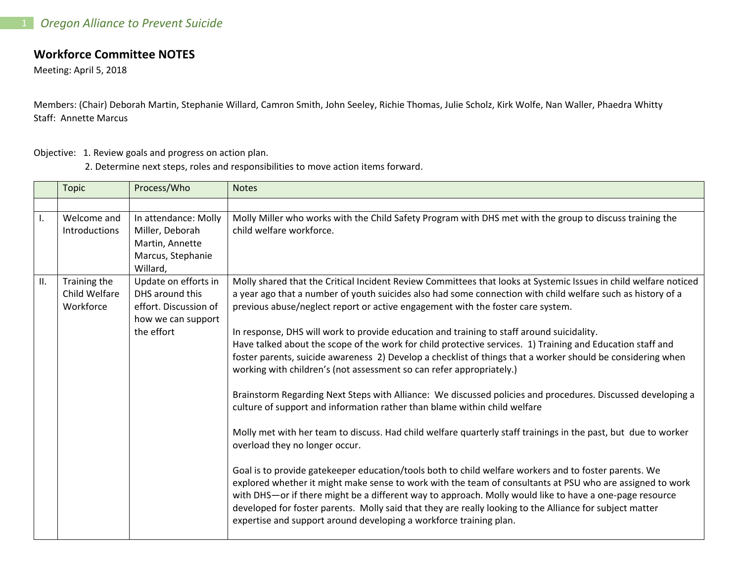## **Workforce Committee NOTES**

Meeting: April 5, 2018

Members: (Chair) Deborah Martin, Stephanie Willard, Camron Smith, John Seeley, Richie Thomas, Julie Scholz, Kirk Wolfe, Nan Waller, Phaedra Whitty Staff: Annette Marcus

Objective: 1. Review goals and progress on action plan.

2. Determine next steps, roles and responsibilities to move action items forward.

|                | <b>Topic</b>                               | Process/Who                                                                                 | <b>Notes</b>                                                                                                                                                                                                                                                                                                                                                                                                                                                                                                    |
|----------------|--------------------------------------------|---------------------------------------------------------------------------------------------|-----------------------------------------------------------------------------------------------------------------------------------------------------------------------------------------------------------------------------------------------------------------------------------------------------------------------------------------------------------------------------------------------------------------------------------------------------------------------------------------------------------------|
|                |                                            |                                                                                             |                                                                                                                                                                                                                                                                                                                                                                                                                                                                                                                 |
| $\mathbf{I}$ . | Welcome and<br>Introductions               | In attendance: Molly<br>Miller, Deborah<br>Martin, Annette<br>Marcus, Stephanie<br>Willard, | Molly Miller who works with the Child Safety Program with DHS met with the group to discuss training the<br>child welfare workforce.                                                                                                                                                                                                                                                                                                                                                                            |
| II.            | Training the<br>Child Welfare<br>Workforce | Update on efforts in<br>DHS around this<br>effort. Discussion of<br>how we can support      | Molly shared that the Critical Incident Review Committees that looks at Systemic Issues in child welfare noticed<br>a year ago that a number of youth suicides also had some connection with child welfare such as history of a<br>previous abuse/neglect report or active engagement with the foster care system.                                                                                                                                                                                              |
|                |                                            | the effort                                                                                  | In response, DHS will work to provide education and training to staff around suicidality.<br>Have talked about the scope of the work for child protective services. 1) Training and Education staff and<br>foster parents, suicide awareness 2) Develop a checklist of things that a worker should be considering when<br>working with children's (not assessment so can refer appropriately.)                                                                                                                  |
|                |                                            |                                                                                             | Brainstorm Regarding Next Steps with Alliance: We discussed policies and procedures. Discussed developing a<br>culture of support and information rather than blame within child welfare                                                                                                                                                                                                                                                                                                                        |
|                |                                            |                                                                                             | Molly met with her team to discuss. Had child welfare quarterly staff trainings in the past, but due to worker<br>overload they no longer occur.                                                                                                                                                                                                                                                                                                                                                                |
|                |                                            |                                                                                             | Goal is to provide gatekeeper education/tools both to child welfare workers and to foster parents. We<br>explored whether it might make sense to work with the team of consultants at PSU who are assigned to work<br>with DHS-or if there might be a different way to approach. Molly would like to have a one-page resource<br>developed for foster parents. Molly said that they are really looking to the Alliance for subject matter<br>expertise and support around developing a workforce training plan. |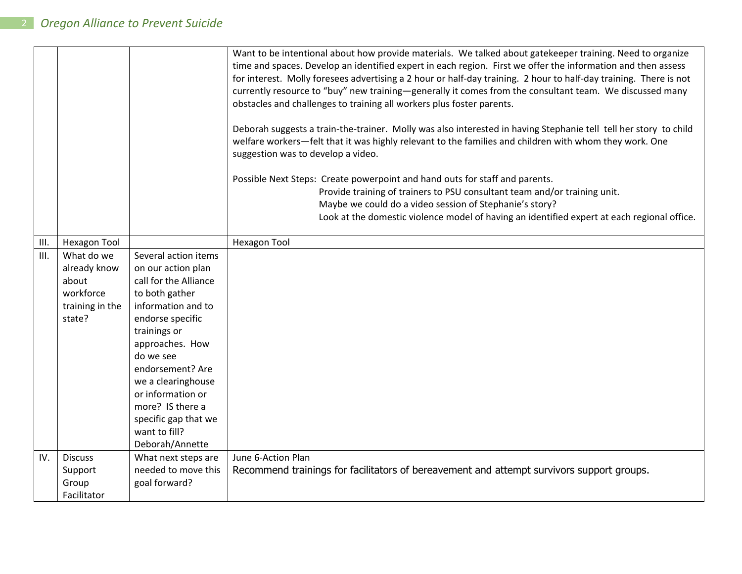## 2 *Oregon Alliance to Prevent Suicide*

|      |                 |                                         | Want to be intentional about how provide materials. We talked about gatekeeper training. Need to organize<br>time and spaces. Develop an identified expert in each region. First we offer the information and then assess<br>for interest. Molly foresees advertising a 2 hour or half-day training. 2 hour to half-day training. There is not<br>currently resource to "buy" new training-generally it comes from the consultant team. We discussed many<br>obstacles and challenges to training all workers plus foster parents.<br>Deborah suggests a train-the-trainer. Molly was also interested in having Stephanie tell tell her story to child<br>welfare workers-felt that it was highly relevant to the families and children with whom they work. One<br>suggestion was to develop a video.<br>Possible Next Steps: Create powerpoint and hand outs for staff and parents.<br>Provide training of trainers to PSU consultant team and/or training unit.<br>Maybe we could do a video session of Stephanie's story?<br>Look at the domestic violence model of having an identified expert at each regional office. |
|------|-----------------|-----------------------------------------|------------------------------------------------------------------------------------------------------------------------------------------------------------------------------------------------------------------------------------------------------------------------------------------------------------------------------------------------------------------------------------------------------------------------------------------------------------------------------------------------------------------------------------------------------------------------------------------------------------------------------------------------------------------------------------------------------------------------------------------------------------------------------------------------------------------------------------------------------------------------------------------------------------------------------------------------------------------------------------------------------------------------------------------------------------------------------------------------------------------------------|
| III. | Hexagon Tool    |                                         | Hexagon Tool                                                                                                                                                                                                                                                                                                                                                                                                                                                                                                                                                                                                                                                                                                                                                                                                                                                                                                                                                                                                                                                                                                                 |
| III. | What do we      | Several action items                    |                                                                                                                                                                                                                                                                                                                                                                                                                                                                                                                                                                                                                                                                                                                                                                                                                                                                                                                                                                                                                                                                                                                              |
|      | already know    | on our action plan                      |                                                                                                                                                                                                                                                                                                                                                                                                                                                                                                                                                                                                                                                                                                                                                                                                                                                                                                                                                                                                                                                                                                                              |
|      | about           | call for the Alliance                   |                                                                                                                                                                                                                                                                                                                                                                                                                                                                                                                                                                                                                                                                                                                                                                                                                                                                                                                                                                                                                                                                                                                              |
|      | workforce       | to both gather                          |                                                                                                                                                                                                                                                                                                                                                                                                                                                                                                                                                                                                                                                                                                                                                                                                                                                                                                                                                                                                                                                                                                                              |
|      | training in the | information and to                      |                                                                                                                                                                                                                                                                                                                                                                                                                                                                                                                                                                                                                                                                                                                                                                                                                                                                                                                                                                                                                                                                                                                              |
|      | state?          | endorse specific                        |                                                                                                                                                                                                                                                                                                                                                                                                                                                                                                                                                                                                                                                                                                                                                                                                                                                                                                                                                                                                                                                                                                                              |
|      |                 | trainings or                            |                                                                                                                                                                                                                                                                                                                                                                                                                                                                                                                                                                                                                                                                                                                                                                                                                                                                                                                                                                                                                                                                                                                              |
|      |                 | approaches. How                         |                                                                                                                                                                                                                                                                                                                                                                                                                                                                                                                                                                                                                                                                                                                                                                                                                                                                                                                                                                                                                                                                                                                              |
|      |                 | do we see                               |                                                                                                                                                                                                                                                                                                                                                                                                                                                                                                                                                                                                                                                                                                                                                                                                                                                                                                                                                                                                                                                                                                                              |
|      |                 | endorsement? Are                        |                                                                                                                                                                                                                                                                                                                                                                                                                                                                                                                                                                                                                                                                                                                                                                                                                                                                                                                                                                                                                                                                                                                              |
|      |                 | we a clearinghouse<br>or information or |                                                                                                                                                                                                                                                                                                                                                                                                                                                                                                                                                                                                                                                                                                                                                                                                                                                                                                                                                                                                                                                                                                                              |
|      |                 | more? IS there a                        |                                                                                                                                                                                                                                                                                                                                                                                                                                                                                                                                                                                                                                                                                                                                                                                                                                                                                                                                                                                                                                                                                                                              |
|      |                 | specific gap that we                    |                                                                                                                                                                                                                                                                                                                                                                                                                                                                                                                                                                                                                                                                                                                                                                                                                                                                                                                                                                                                                                                                                                                              |
|      |                 | want to fill?                           |                                                                                                                                                                                                                                                                                                                                                                                                                                                                                                                                                                                                                                                                                                                                                                                                                                                                                                                                                                                                                                                                                                                              |
|      |                 | Deborah/Annette                         |                                                                                                                                                                                                                                                                                                                                                                                                                                                                                                                                                                                                                                                                                                                                                                                                                                                                                                                                                                                                                                                                                                                              |
| IV.  | <b>Discuss</b>  | What next steps are                     | June 6-Action Plan                                                                                                                                                                                                                                                                                                                                                                                                                                                                                                                                                                                                                                                                                                                                                                                                                                                                                                                                                                                                                                                                                                           |
|      | Support         | needed to move this                     | Recommend trainings for facilitators of bereavement and attempt survivors support groups.                                                                                                                                                                                                                                                                                                                                                                                                                                                                                                                                                                                                                                                                                                                                                                                                                                                                                                                                                                                                                                    |
|      | Group           | goal forward?                           |                                                                                                                                                                                                                                                                                                                                                                                                                                                                                                                                                                                                                                                                                                                                                                                                                                                                                                                                                                                                                                                                                                                              |
|      | Facilitator     |                                         |                                                                                                                                                                                                                                                                                                                                                                                                                                                                                                                                                                                                                                                                                                                                                                                                                                                                                                                                                                                                                                                                                                                              |